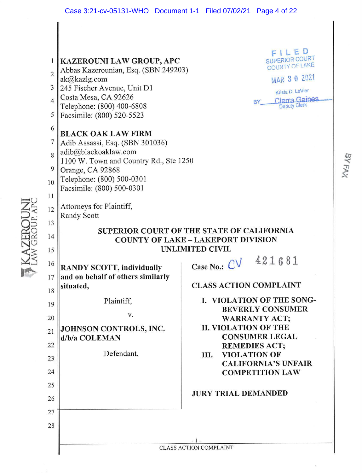BYFAX

| 1<br>$\overline{2}$<br>3<br>$\overline{4}$<br>5<br>6<br>$\overline{7}$<br>8<br>9<br>10<br>11<br>12<br>13<br>14 | <b>KAZEROUNI LAW GROUP, APC</b><br>Abbas Kazerounian, Esq. (SBN 249203)<br>ak@kazlg.com<br>245 Fischer Avenue, Unit D1<br>Costa Mesa, CA 92626<br>Telephone: (800) 400-6808<br>Facsimile: (800) 520-5523<br><b>BLACK OAK LAW FIRM</b><br>Adib Assassi, Esq. (SBN 301036)<br>adib@blackoaklaw.com<br>1100 W. Town and Country Rd., Ste 1250<br>Orange, CA 92868<br>Telephone: (800) 500-0301<br>Facsimile: (800) 500-0301<br>Attorneys for Plaintiff,<br><b>Randy Scott</b> | FILED<br><b>SUPERIOR COURT</b><br>COUNTY OF LAKE<br>MAR 3 0 2021<br>Krista D. LeVier<br><b>Cierra Gaines</b><br>BY _<br><b>Deputy Clerk</b><br>SUPERIOR COURT OF THE STATE OF CALIFORNIA<br><b>COUNTY OF LAKE - LAKEPORT DIVISION</b>                                                                                                                                    |
|----------------------------------------------------------------------------------------------------------------|----------------------------------------------------------------------------------------------------------------------------------------------------------------------------------------------------------------------------------------------------------------------------------------------------------------------------------------------------------------------------------------------------------------------------------------------------------------------------|--------------------------------------------------------------------------------------------------------------------------------------------------------------------------------------------------------------------------------------------------------------------------------------------------------------------------------------------------------------------------|
| 15<br>16<br>17<br>18<br>19<br>20<br>21<br>22<br>23<br>24<br>25<br>26<br>27<br>28                               | <b>RANDY SCOTT, individually</b><br>and on behalf of others similarly<br>situated,<br>Plaintiff,<br>V.<br>JOHNSON CONTROLS, INC.<br>d/b/a COLEMAN<br>Defendant.                                                                                                                                                                                                                                                                                                            | <b>UNLIMITED CIVIL</b><br>421681<br>Case No.: $CV$<br><b>CLASS ACTION COMPLAINT</b><br>I. VIOLATION OF THE SONG-<br><b>BEVERLY CONSUMER</b><br><b>WARRANTY ACT;</b><br><b>II. VIOLATION OF THE</b><br><b>CONSUMER LEGAL</b><br><b>REMEDIES ACT;</b><br><b>VIOLATION OF</b><br>III.<br><b>CALIFORNIA'S UNFAIR</b><br><b>COMPETITION LAW</b><br><b>JURY TRIAL DEMANDED</b> |
|                                                                                                                | $-1-$<br><b>CLASS ACTION COMPLAINT</b>                                                                                                                                                                                                                                                                                                                                                                                                                                     |                                                                                                                                                                                                                                                                                                                                                                          |

# KAZEROUNI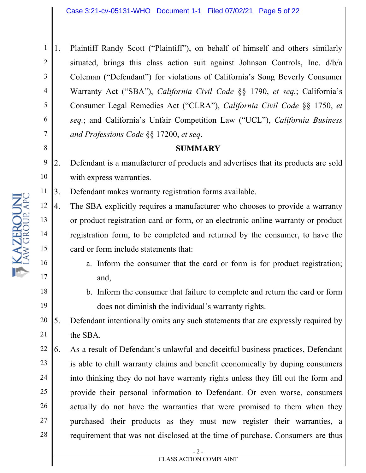1 2 3 4 5 6 7 1. Plaintiff Randy Scott ("Plaintiff"), on behalf of himself and others similarly situated, brings this class action suit against Johnson Controls, Inc. d/b/a Coleman ("Defendant") for violations of California's Song Beverly Consumer Warranty Act ("SBA"), *California Civil Code* §§ 1790, *et seq.*; California's Consumer Legal Remedies Act ("CLRA"), *California Civil Code* §§ 1750, *et seq.*; and California's Unfair Competition Law ("UCL"), *California Business and Professions Code* §§ 17200, *et seq*.

## **SUMMARY**

9 10 2. Defendant is a manufacturer of products and advertises that its products are sold with express warranties.

11 3. Defendant makes warranty registration forms available.

4. The SBA explicitly requires a manufacturer who chooses to provide a warranty or product registration card or form, or an electronic online warranty or product registration form, to be completed and returned by the consumer, to have the card or form include statements that:

- a. Inform the consumer that the card or form is for product registration; and,
- b. Inform the consumer that failure to complete and return the card or form does not diminish the individual's warranty rights.
- 20 21 5. Defendant intentionally omits any such statements that are expressly required by the SBA.
- 22 23 24 25 26 27 28 6. As a result of Defendant's unlawful and deceitful business practices, Defendant is able to chill warranty claims and benefit economically by duping consumers into thinking they do not have warranty rights unless they fill out the form and provide their personal information to Defendant. Or even worse, consumers actually do not have the warranties that were promised to them when they purchased their products as they must now register their warranties, a requirement that was not disclosed at the time of purchase. Consumers are thus

8

12

13

14

15

16

17

18

19

- 2 - CLASS ACTION COMPLAINT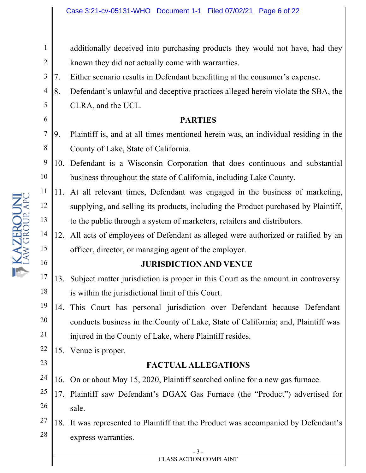additionally deceived into purchasing products they would not have, had they known they did not actually come with warranties.

- 3 7. Either scenario results in Defendant benefitting at the consumer's expense.
- 4 5 8. Defendant's unlawful and deceptive practices alleged herein violate the SBA, the CLRA, and the UCL.

## **PARTIES**

- 7 8 9. Plaintiff is, and at all times mentioned herein was, an individual residing in the County of Lake, State of California.
- 9 10 10. Defendant is a Wisconsin Corporation that does continuous and substantial business throughout the state of California, including Lake County.
- 11 12 13 11. At all relevant times, Defendant was engaged in the business of marketing, supplying, and selling its products, including the Product purchased by Plaintiff, to the public through a system of marketers, retailers and distributors.
- 14 15 12. All acts of employees of Defendant as alleged were authorized or ratified by an officer, director, or managing agent of the employer.

## **JURISDICTION AND VENUE**

- 17 18 13. Subject matter jurisdiction is proper in this Court as the amount in controversy is within the jurisdictional limit of this Court.
- 19 20 21 14. This Court has personal jurisdiction over Defendant because Defendant conducts business in the County of Lake, State of California; and, Plaintiff was injured in the County of Lake, where Plaintiff resides.
- 22 15. Venue is proper.

1

2

6

16

KAZEROUNI

23

## **FACTUAL ALLEGATIONS**

- 24 16. On or about May 15, 2020, Plaintiff searched online for a new gas furnace.
- 25 26 17. Plaintiff saw Defendant's DGAX Gas Furnace (the "Product") advertised for sale.
- 27 28 18. It was represented to Plaintiff that the Product was accompanied by Defendant's express warranties.

- 3 -

#### CLASS ACTION COMPLAINT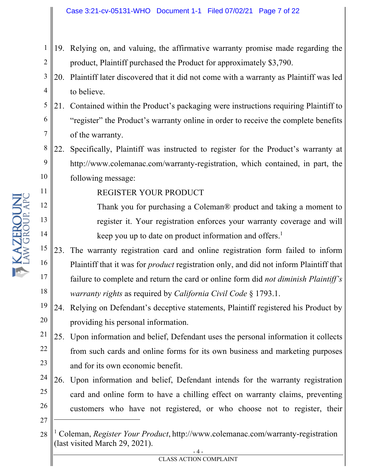- 1 2 19. Relying on, and valuing, the affirmative warranty promise made regarding the product, Plaintiff purchased the Product for approximately \$3,790.
- 3 4 20. Plaintiff later discovered that it did not come with a warranty as Plaintiff was led to believe.
- 5 6 7 21. Contained within the Product's packaging were instructions requiring Plaintiff to "register" the Product's warranty online in order to receive the complete benefits of the warranty.
- 8 9 10 22. Specifically, Plaintiff was instructed to register for the Product's warranty at http://www.colemanac.com/warranty-registration, which contained, in part, the following message:

REGISTER YOUR PRODUCT

Thank you for purchasing a Coleman® product and taking a moment to register it. Your registration enforces your warranty coverage and will keep you up to date on product information and offers.<sup>1</sup>

- 15 16 17 18 23. The warranty registration card and online registration form failed to inform Plaintiff that it was for *product* registration only, and did not inform Plaintiff that failure to complete and return the card or online form did *not diminish Plaintiff's warranty rights* as required by *California Civil Code* § 1793.1.
- 19 20 24. Relying on Defendant's deceptive statements, Plaintiff registered his Product by providing his personal information.
- 21 22 23 25. Upon information and belief, Defendant uses the personal information it collects from such cards and online forms for its own business and marketing purposes and for its own economic benefit.
- 24 25 26 26. Upon information and belief, Defendant intends for the warranty registration card and online form to have a chilling effect on warranty claims, preventing customers who have not registered, or who choose not to register, their
- 27

11

12

13

<sup>28</sup> <sup>1</sup> Coleman, *Register Your Product*, http://www.colemanac.com/warranty-registration (last visited March 29, 2021).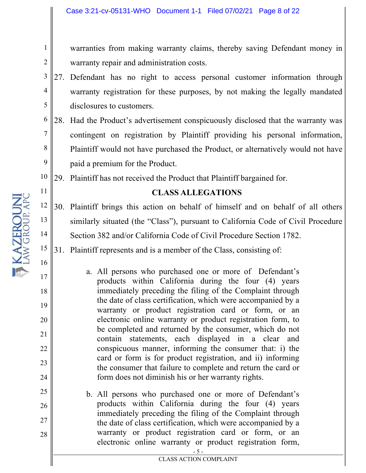warranties from making warranty claims, thereby saving Defendant money in warranty repair and administration costs.

- 3 4 5 27. Defendant has no right to access personal customer information through warranty registration for these purposes, by not making the legally mandated disclosures to customers.
- 6 7 8 9 28. Had the Product's advertisement conspicuously disclosed that the warranty was contingent on registration by Plaintiff providing his personal information, Plaintiff would not have purchased the Product, or alternatively would not have paid a premium for the Product.

10 29. Plaintiff has not received the Product that Plaintiff bargained for.

## **CLASS ALLEGATIONS**

12 13 14 30. Plaintiff brings this action on behalf of himself and on behalf of all others similarly situated (the "Class"), pursuant to California Code of Civil Procedure Section 382 and/or California Code of Civil Procedure Section 1782.

15 31. Plaintiff represents and is a member of the Class, consisting of:

- a. All persons who purchased one or more of Defendant's products within California during the four (4) years immediately preceding the filing of the Complaint through the date of class certification, which were accompanied by a warranty or product registration card or form, or an electronic online warranty or product registration form, to be completed and returned by the consumer, which do not contain statements, each displayed in a clear and conspicuous manner, informing the consumer that: i) the card or form is for product registration, and ii) informing the consumer that failure to complete and return the card or form does not diminish his or her warranty rights.
- b. All persons who purchased one or more of Defendant's products within California during the four (4) years immediately preceding the filing of the Complaint through the date of class certification, which were accompanied by a warranty or product registration card or form, or an electronic online warranty or product registration form,

1

2

11

16

17

18

19

20

21

22

23

24

25

26

27

28

- 5 - CLASS ACTION COMPLAINT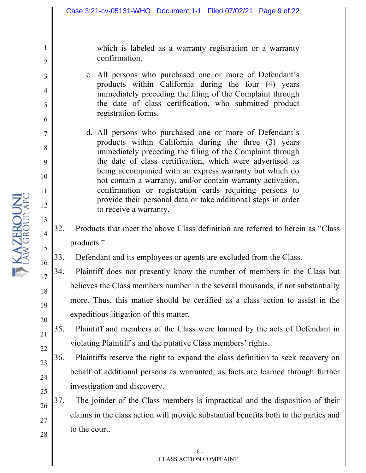which is labeled as a warranty registration or a warranty confirmation.

- c. All persons who purchased one or more of Defendant's products within California during the four (4) years immediately preceding the filing of the Complaint through the date of class certification, who submitted product registration forms.
- d. All persons who purchased one or more of Defendant's products within California during the three (3) years immediately preceding the filing of the Complaint through the date of class certification, which were advertised as being accompanied with an express warranty but which do not contain a warranty, and/or contain warranty activation, confirmation or registration cards requiring persons to provide their personal data or take additional steps in order to receive a warranty.
- 32. Products that meet the above Class definition are referred to herein as "Class products."

33. Defendant and its employees or agents are excluded from the Class.

- 34. Plaintiff does not presently know the number of members in the Class but believes the Class members number in the several thousands, if not substantially more. Thus, this matter should be certified as a class action to assist in the expeditious litigation of this matter.
- 35. Plaintiff and members of the Class were harmed by the acts of Defendant in violating Plaintiff's and the putative Class members' rights.
- 36. Plaintiffs reserve the right to expand the class definition to seek recovery on behalf of additional persons as warranted, as facts are learned through further investigation and discovery.
- 37. The joinder of the Class members is impractical and the disposition of their claims in the class action will provide substantial benefits both to the parties and to the court.

1

2

3

4

5

6

7

8

9

10

11

12

13

14

15

16

17

18

19

20

21

22

23

24

25

26

27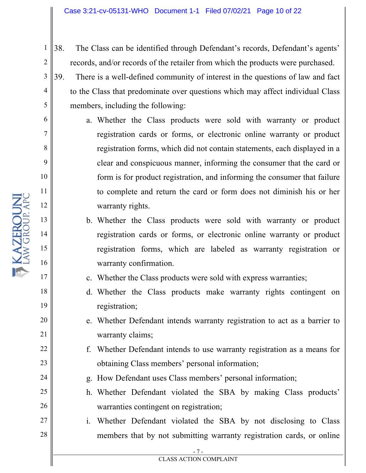- 38. The Class can be identified through Defendant's records, Defendant's agents' records, and/or records of the retailer from which the products were purchased.
- 39. There is a well-defined community of interest in the questions of law and fact to the Class that predominate over questions which may affect individual Class members, including the following:
	- a. Whether the Class products were sold with warranty or product registration cards or forms, or electronic online warranty or product registration forms, which did not contain statements, each displayed in a clear and conspicuous manner, informing the consumer that the card or form is for product registration, and informing the consumer that failure to complete and return the card or form does not diminish his or her warranty rights.
	- b. Whether the Class products were sold with warranty or product registration cards or forms, or electronic online warranty or product registration forms, which are labeled as warranty registration or warranty confirmation.
	- c. Whether the Class products were sold with express warranties;
	- d. Whether the Class products make warranty rights contingent on registration;
	- e. Whether Defendant intends warranty registration to act as a barrier to warranty claims;
	- f. Whether Defendant intends to use warranty registration as a means for obtaining Class members' personal information;
	- g. How Defendant uses Class members' personal information;
	- h. Whether Defendant violated the SBA by making Class products' warranties contingent on registration;
- 27 28 i. Whether Defendant violated the SBA by not disclosing to Class members that by not submitting warranty registration cards, or online

1

2

3

4

5

6

7

8

9

10

11

12

13

14

15

16

17

18

19

20

21

22

23

24

25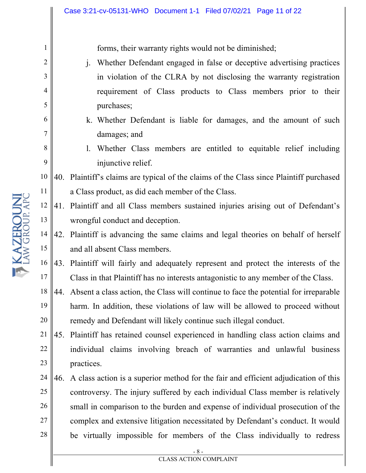forms, their warranty rights would not be diminished;

- j. Whether Defendant engaged in false or deceptive advertising practices in violation of the CLRA by not disclosing the warranty registration requirement of Class products to Class members prior to their purchases;
- k. Whether Defendant is liable for damages, and the amount of such damages; and
- l. Whether Class members are entitled to equitable relief including injunctive relief.

10 11 40. Plaintiff's claims are typical of the claims of the Class since Plaintiff purchased a Class product, as did each member of the Class.

- 12 13 41. Plaintiff and all Class members sustained injuries arising out of Defendant's wrongful conduct and deception.
- 14 15 42. Plaintiff is advancing the same claims and legal theories on behalf of herself and all absent Class members.
- 16 17 43. Plaintiff will fairly and adequately represent and protect the interests of the Class in that Plaintiff has no interests antagonistic to any member of the Class.
- 18 19 20 44. Absent a class action, the Class will continue to face the potential for irreparable harm. In addition, these violations of law will be allowed to proceed without remedy and Defendant will likely continue such illegal conduct.
- 21 22 23 45. Plaintiff has retained counsel experienced in handling class action claims and individual claims involving breach of warranties and unlawful business practices.
- 24 25 26 27 28 46. A class action is a superior method for the fair and efficient adjudication of this controversy. The injury suffered by each individual Class member is relatively small in comparison to the burden and expense of individual prosecution of the complex and extensive litigation necessitated by Defendant's conduct. It would be virtually impossible for members of the Class individually to redress

1

2

3

4

5

6

7

8

9

- 8 - CLASS ACTION COMPLAINT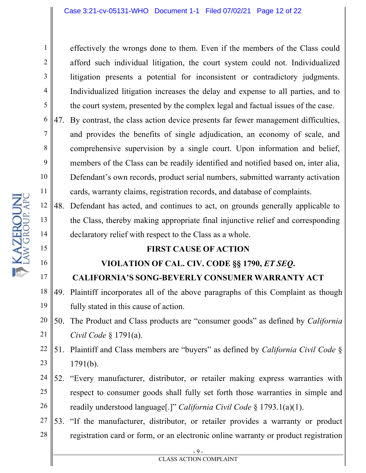effectively the wrongs done to them. Even if the members of the Class could afford such individual litigation, the court system could not. Individualized litigation presents a potential for inconsistent or contradictory judgments. Individualized litigation increases the delay and expense to all parties, and to the court system, presented by the complex legal and factual issues of the case.

47. By contrast, the class action device presents far fewer management difficulties, and provides the benefits of single adjudication, an economy of scale, and comprehensive supervision by a single court. Upon information and belief, members of the Class can be readily identified and notified based on, inter alia, Defendant's own records, product serial numbers, submitted warranty activation cards, warranty claims, registration records, and database of complaints.

48. Defendant has acted, and continues to act, on grounds generally applicable to the Class, thereby making appropriate final injunctive relief and corresponding declaratory relief with respect to the Class as a whole.

# **FIRST CAUSE OF ACTION**

# **VIOLATION OF CAL. CIV. CODE §§ 1790,** *ET SEQ***. CALIFORNIA'S SONG-BEVERLY CONSUMER WARRANTY ACT**

18 19 49. Plaintiff incorporates all of the above paragraphs of this Complaint as though fully stated in this cause of action.

20 21 50. The Product and Class products are "consumer goods" as defined by *California Civil Code* § 1791(a).

- 22 23 51. Plaintiff and Class members are "buyers" as defined by *California Civil Code* § 1791(b).
- 24 25 26 52. "Every manufacturer, distributor, or retailer making express warranties with respect to consumer goods shall fully set forth those warranties in simple and readily understood language[.]" *California Civil Code* § 1793.1(a)(1).
- 27 28 53. "If the manufacturer, distributor, or retailer provides a warranty or product registration card or form, or an electronic online warranty or product registration

1

2

3

4

5

6

7

8

9

10

11

12

13

14

15

16

17

- 9 - CLASS ACTION COMPLAINT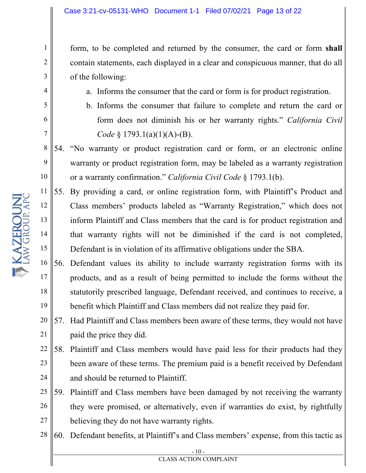form, to be completed and returned by the consumer, the card or form **shall** contain statements, each displayed in a clear and conspicuous manner, that do all of the following:

- a. Informs the consumer that the card or form is for product registration.
- b. Informs the consumer that failure to complete and return the card or form does not diminish his or her warranty rights." *California Civil Code* § 1793.1(a)(1)(A)-(B).
- 8 9 10 54. "No warranty or product registration card or form, or an electronic online warranty or product registration form, may be labeled as a warranty registration or a warranty confirmation." *California Civil Code* § 1793.1(b).
- 11 12 13 14 15 55. By providing a card, or online registration form, with Plaintiff's Product and Class members' products labeled as "Warranty Registration," which does not inform Plaintiff and Class members that the card is for product registration and that warranty rights will not be diminished if the card is not completed, Defendant is in violation of its affirmative obligations under the SBA.
- 16 17 18 19 56. Defendant values its ability to include warranty registration forms with its products, and as a result of being permitted to include the forms without the statutorily prescribed language, Defendant received, and continues to receive, a benefit which Plaintiff and Class members did not realize they paid for.
- 20 21 57. Had Plaintiff and Class members been aware of these terms, they would not have paid the price they did.
- 22 23 24 58. Plaintiff and Class members would have paid less for their products had they been aware of these terms. The premium paid is a benefit received by Defendant and should be returned to Plaintiff.
- 25 26 27 59. Plaintiff and Class members have been damaged by not receiving the warranty they were promised, or alternatively, even if warranties do exist, by rightfully believing they do not have warranty rights.
- 28 60. Defendant benefits, at Plaintiff's and Class members' expense, from this tactic as

1

2

3

4

5

6

7

- 10 - CLASS ACTION COMPLAINT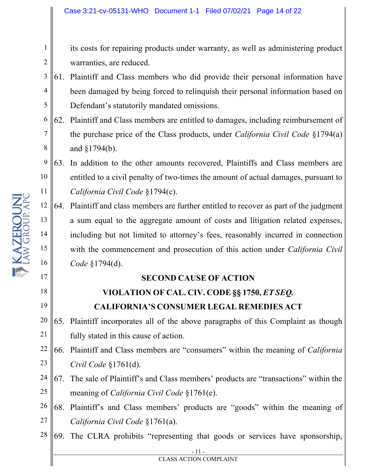its costs for repairing products under warranty, as well as administering product warranties, are reduced.

- 3 4 5 61. Plaintiff and Class members who did provide their personal information have been damaged by being forced to relinquish their personal information based on Defendant's statutorily mandated omissions.
- 6 7 8 62. Plaintiff and Class members are entitled to damages, including reimbursement of the purchase price of the Class products, under *California Civil Code* §1794(a) and §1794(b).
- 9 10 11 63. In addition to the other amounts recovered, Plaintiffs and Class members are entitled to a civil penalty of two-times the amount of actual damages, pursuant to *California Civil Code* §1794(c).
- 12 13 14 15 16 64. Plaintiff and class members are further entitled to recover as part of the judgment a sum equal to the aggregate amount of costs and litigation related expenses, including but not limited to attorney's fees, reasonably incurred in connection with the commencement and prosecution of this action under *California Civil Code* §1794(d).

# **SECOND CAUSE OF ACTION**

# **VIOLATION OF CAL. CIV. CODE §§ 1750,** *ET SEQ.*

# **CALIFORNIA'S CONSUMER LEGAL REMEDIES ACT**

- 20 21 65. Plaintiff incorporates all of the above paragraphs of this Complaint as though fully stated in this cause of action.
- 22 23 66. Plaintiff and Class members are "consumers" within the meaning of *California Civil Code* §1761(d).
- 24 25 67. The sale of Plaintiff's and Class members' products are "transactions" within the meaning of *California Civil Code* §1761(e).
- 26 27 68. Plaintiff's and Class members' products are "goods" within the meaning of *California Civil Code* §1761(a).
- 28 69. The CLRA prohibits "representing that goods or services have sponsorship,

17

18

19

1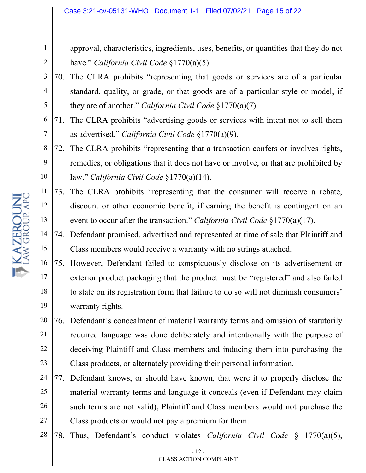approval, characteristics, ingredients, uses, benefits, or quantities that they do not have." *California Civil Code* §1770(a)(5).

- 3 4 5 70. The CLRA prohibits "representing that goods or services are of a particular standard, quality, or grade, or that goods are of a particular style or model, if they are of another." *California Civil Code* §1770(a)(7).
- 6 7 71. The CLRA prohibits "advertising goods or services with intent not to sell them as advertised." *California Civil Code* §1770(a)(9).
- 8 9 10 72. The CLRA prohibits "representing that a transaction confers or involves rights, remedies, or obligations that it does not have or involve, or that are prohibited by law." *California Civil Code* §1770(a)(14).
- 11 12 13 73. The CLRA prohibits "representing that the consumer will receive a rebate, discount or other economic benefit, if earning the benefit is contingent on an event to occur after the transaction." *California Civil Code* §1770(a)(17).
- 14 15 74. Defendant promised, advertised and represented at time of sale that Plaintiff and Class members would receive a warranty with no strings attached.
- 16 17 18 19 75. However, Defendant failed to conspicuously disclose on its advertisement or exterior product packaging that the product must be "registered" and also failed to state on its registration form that failure to do so will not diminish consumers' warranty rights.
- 20 21 22 23 76. Defendant's concealment of material warranty terms and omission of statutorily required language was done deliberately and intentionally with the purpose of deceiving Plaintiff and Class members and inducing them into purchasing the Class products, or alternately providing their personal information.
- 24 25 26 27 77. Defendant knows, or should have known, that were it to properly disclose the material warranty terms and language it conceals (even if Defendant may claim such terms are not valid), Plaintiff and Class members would not purchase the Class products or would not pay a premium for them.
- 28 78. Thus, Defendant's conduct violates *California Civil Code* § 1770(a)(5),

1

2

- 12 - CLASS ACTION COMPLAINT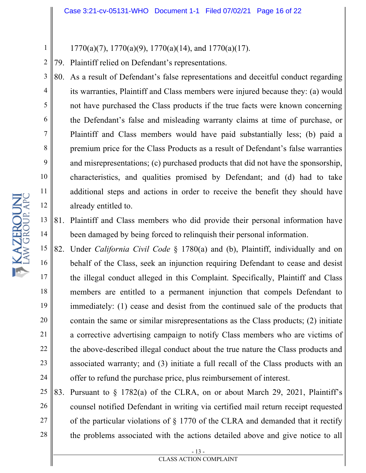$1770(a)(7)$ ,  $1770(a)(9)$ ,  $1770(a)(14)$ , and  $1770(a)(17)$ .

2 79. Plaintiff relied on Defendant's representations.

80. As a result of Defendant's false representations and deceitful conduct regarding its warranties, Plaintiff and Class members were injured because they: (a) would not have purchased the Class products if the true facts were known concerning the Defendant's false and misleading warranty claims at time of purchase, or Plaintiff and Class members would have paid substantially less; (b) paid a premium price for the Class Products as a result of Defendant's false warranties and misrepresentations; (c) purchased products that did not have the sponsorship, characteristics, and qualities promised by Defendant; and (d) had to take additional steps and actions in order to receive the benefit they should have already entitled to.

- 13 14 81. Plaintiff and Class members who did provide their personal information have been damaged by being forced to relinquish their personal information.
- 15 16 17 18 19 20 21 22 23 24 82. Under *California Civil Code* § 1780(a) and (b), Plaintiff, individually and on behalf of the Class, seek an injunction requiring Defendant to cease and desist the illegal conduct alleged in this Complaint. Specifically, Plaintiff and Class members are entitled to a permanent injunction that compels Defendant to immediately: (1) cease and desist from the continued sale of the products that contain the same or similar misrepresentations as the Class products; (2) initiate a corrective advertising campaign to notify Class members who are victims of the above-described illegal conduct about the true nature the Class products and associated warranty; and (3) initiate a full recall of the Class products with an offer to refund the purchase price, plus reimbursement of interest.
- 25 26 27 28 83. Pursuant to § 1782(a) of the CLRA, on or about March 29, 2021, Plaintiff's counsel notified Defendant in writing via certified mail return receipt requested of the particular violations of § 1770 of the CLRA and demanded that it rectify the problems associated with the actions detailed above and give notice to all

1

3

4

5

6

7

8

9

10

11

12

- 13 -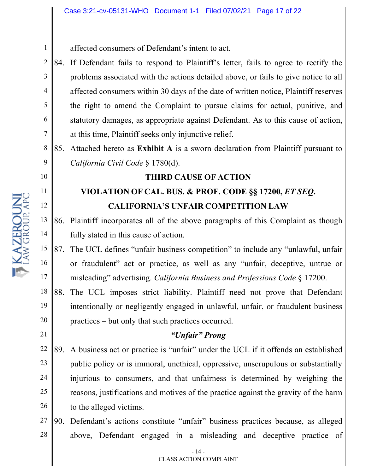affected consumers of Defendant's intent to act.

2 3 4 5 6 7 84. If Defendant fails to respond to Plaintiff's letter, fails to agree to rectify the problems associated with the actions detailed above, or fails to give notice to all affected consumers within 30 days of the date of written notice, Plaintiff reserves the right to amend the Complaint to pursue claims for actual, punitive, and statutory damages, as appropriate against Defendant. As to this cause of action, at this time, Plaintiff seeks only injunctive relief.

8 9 85. Attached hereto as **Exhibit A** is a sworn declaration from Plaintiff pursuant to *California Civil Code* § 1780(d).

## **THIRD CAUSE OF ACTION**

# **VIOLATION OF CAL. BUS. & PROF. CODE §§ 17200,** *ET SEQ***. CALIFORNIA'S UNFAIR COMPETITION LAW**

- 13 14 86. Plaintiff incorporates all of the above paragraphs of this Complaint as though fully stated in this cause of action.
- 15 16 17 87. The UCL defines "unfair business competition" to include any "unlawful, unfair or fraudulent" act or practice, as well as any "unfair, deceptive, untrue or misleading" advertising. *California Business and Professions Code* § 17200.

18 19 20 88. The UCL imposes strict liability. Plaintiff need not prove that Defendant intentionally or negligently engaged in unlawful, unfair, or fraudulent business practices – but only that such practices occurred.

## *"Unfair" Prong*

22 23 24 25 26 89. A business act or practice is "unfair" under the UCL if it offends an established public policy or is immoral, unethical, oppressive, unscrupulous or substantially injurious to consumers, and that unfairness is determined by weighing the reasons, justifications and motives of the practice against the gravity of the harm to the alleged victims.

27 28 90. Defendant's actions constitute "unfair" business practices because, as alleged above, Defendant engaged in a misleading and deceptive practice of

1

10

11

12

21

- 14 - CLASS ACTION COMPLAINT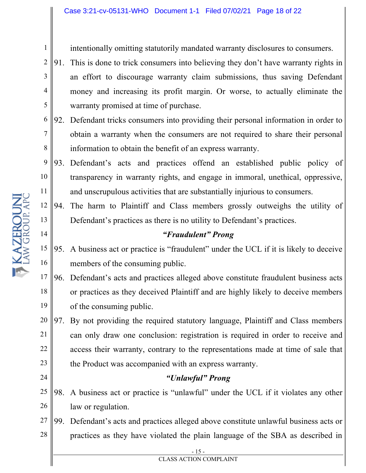intentionally omitting statutorily mandated warranty disclosures to consumers.

2 3 4 5 91. This is done to trick consumers into believing they don't have warranty rights in an effort to discourage warranty claim submissions, thus saving Defendant money and increasing its profit margin. Or worse, to actually eliminate the warranty promised at time of purchase.

6 7 8 92. Defendant tricks consumers into providing their personal information in order to obtain a warranty when the consumers are not required to share their personal information to obtain the benefit of an express warranty.

9 10 11 93. Defendant's acts and practices offend an established public policy of transparency in warranty rights, and engage in immoral, unethical, oppressive, and unscrupulous activities that are substantially injurious to consumers.

12 13 94. The harm to Plaintiff and Class members grossly outweighs the utility of Defendant's practices as there is no utility to Defendant's practices.

## *"Fraudulent" Prong*

15 16 95. A business act or practice is "fraudulent" under the UCL if it is likely to deceive members of the consuming public.

17 18 19 96. Defendant's acts and practices alleged above constitute fraudulent business acts or practices as they deceived Plaintiff and are highly likely to deceive members of the consuming public.

20 21 22 23 97. By not providing the required statutory language, Plaintiff and Class members can only draw one conclusion: registration is required in order to receive and access their warranty, contrary to the representations made at time of sale that the Product was accompanied with an express warranty.

## *"Unlawful" Prong*

25 26 98. A business act or practice is "unlawful" under the UCL if it violates any other law or regulation.

27 28 99. Defendant's acts and practices alleged above constitute unlawful business acts or practices as they have violated the plain language of the SBA as described in

14

24

1

- 15 - CLASS ACTION COMPLAINT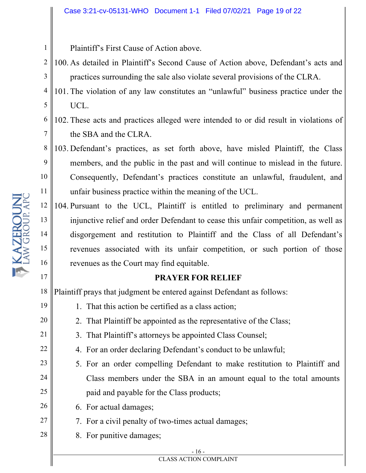Plaintiff's First Cause of Action above.

- 2 3 100. As detailed in Plaintiff's Second Cause of Action above, Defendant's acts and practices surrounding the sale also violate several provisions of the CLRA.
- 4 5 101. The violation of any law constitutes an "unlawful" business practice under the UCL.
- 6 7 102. These acts and practices alleged were intended to or did result in violations of the SBA and the CLRA.
- 8 9 10 11 103. Defendant's practices, as set forth above, have misled Plaintiff, the Class members, and the public in the past and will continue to mislead in the future. Consequently, Defendant's practices constitute an unlawful, fraudulent, and unfair business practice within the meaning of the UCL.
- 12 13 14 15 16 104. Pursuant to the UCL, Plaintiff is entitled to preliminary and permanent injunctive relief and order Defendant to cease this unfair competition, as well as disgorgement and restitution to Plaintiff and the Class of all Defendant's revenues associated with its unfair competition, or such portion of those revenues as the Court may find equitable.

## **PRAYER FOR RELIEF**

18 Plaintiff prays that judgment be entered against Defendant as follows:

- 1. That this action be certified as a class action;
- 2. That Plaintiff be appointed as the representative of the Class;
- 3. That Plaintiff's attorneys be appointed Class Counsel;
	- 4. For an order declaring Defendant's conduct to be unlawful;
- 5. For an order compelling Defendant to make restitution to Plaintiff and Class members under the SBA in an amount equal to the total amounts paid and payable for the Class products;
- 6. For actual damages;
- 7. For a civil penalty of two-times actual damages;
- 28 8. For punitive damages;

#### - 16 -

#### CLASS ACTION COMPLAINT

17

19

20

21

22

23

24

25

26

27